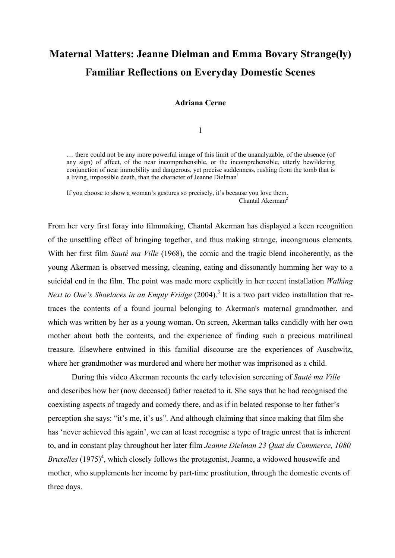# **Maternal Matters: Jeanne Dielman and Emma Bovary Strange(ly) Familiar Reflections on Everyday Domestic Scenes**

**Adriana Cerne**

I

… there could not be any more powerful image of this limit of the unanalyzable, of the absence (of any sign) of affect, of the near incomprehensible, or the incomprehensible, utterly bewildering conjunction of near immobility and dangerous, yet precise suddenness, rushing from the tomb that is a living, impossible death, than the character of Jeanne Dielman<sup>1</sup>

If you choose to show a woman's gestures so precisely, it's because you love them. Chantal Akerman<sup>2</sup>

From her very first foray into filmmaking, Chantal Akerman has displayed a keen recognition of the unsettling effect of bringing together, and thus making strange, incongruous elements. With her first film *Sauté ma Ville* (1968), the comic and the tragic blend incoherently, as the young Akerman is observed messing, cleaning, eating and dissonantly humming her way to a suicidal end in the film. The point was made more explicitly in her recent installation *Walking Next to One's Shoelaces in an Empty Fridge* (2004).<sup>3</sup> It is a two part video installation that retraces the contents of a found journal belonging to Akerman's maternal grandmother, and which was written by her as a young woman. On screen, Akerman talks candidly with her own mother about both the contents, and the experience of finding such a precious matrilineal treasure. Elsewhere entwined in this familial discourse are the experiences of Auschwitz, where her grandmother was murdered and where her mother was imprisoned as a child.

During this video Akerman recounts the early television screening of *Sauté ma Ville* and describes how her (now deceased) father reacted to it. She says that he had recognised the coexisting aspects of tragedy and comedy there, and as if in belated response to her father's perception she says: "it's me, it's us". And although claiming that since making that film she has 'never achieved this again', we can at least recognise a type of tragic unrest that is inherent to, and in constant play throughout her later film *Jeanne Dielman 23 Quai du Commerce, 1080*  Bruxelles (1975)<sup>4</sup>, which closely follows the protagonist, Jeanne, a widowed housewife and mother, who supplements her income by part-time prostitution, through the domestic events of three days.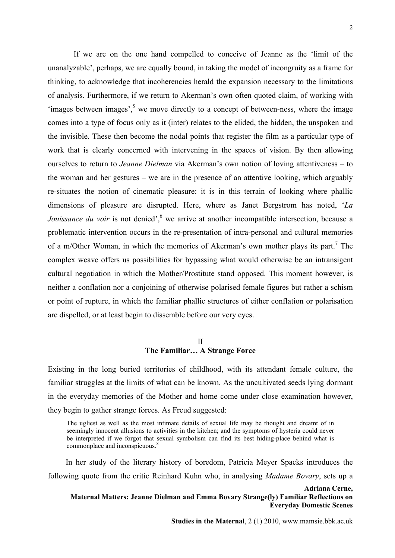If we are on the one hand compelled to conceive of Jeanne as the 'limit of the unanalyzable', perhaps, we are equally bound, in taking the model of incongruity as a frame for thinking, to acknowledge that incoherencies herald the expansion necessary to the limitations of analysis. Furthermore, if we return to Akerman's own often quoted claim, of working with 'images between images', <sup>5</sup> we move directly to a concept of between-ness, where the image comes into a type of focus only as it (inter) relates to the elided, the hidden, the unspoken and the invisible. These then become the nodal points that register the film as a particular type of work that is clearly concerned with intervening in the spaces of vision. By then allowing ourselves to return to *Jeanne Dielman* via Akerman's own notion of loving attentiveness – to the woman and her gestures – we are in the presence of an attentive looking, which arguably re-situates the notion of cinematic pleasure: it is in this terrain of looking where phallic dimensions of pleasure are disrupted. Here, where as Janet Bergstrom has noted, '*La Jouissance du voir* is not denied', we arrive at another incompatible intersection, because a problematic intervention occurs in the re-presentation of intra-personal and cultural memories of a m/Other Woman, in which the memories of Akerman's own mother plays its part.<sup>7</sup> The complex weave offers us possibilities for bypassing what would otherwise be an intransigent cultural negotiation in which the Mother/Prostitute stand opposed. This moment however, is neither a conflation nor a conjoining of otherwise polarised female figures but rather a schism or point of rupture, in which the familiar phallic structures of either conflation or polarisation are dispelled, or at least begin to dissemble before our very eyes.

#### II **The Familiar… A Strange Force**

Existing in the long buried territories of childhood, with its attendant female culture, the familiar struggles at the limits of what can be known. As the uncultivated seeds lying dormant in the everyday memories of the Mother and home come under close examination however, they begin to gather strange forces. As Freud suggested:

The ugliest as well as the most intimate details of sexual life may be thought and dreamt of in seemingly innocent allusions to activities in the kitchen; and the symptoms of hysteria could never be interpreted if we forgot that sexual symbolism can find its best hiding-place behind what is commonplace and inconspicuous. 8

In her study of the literary history of boredom, Patricia Meyer Spacks introduces the following quote from the critic Reinhard Kuhn who, in analysing *Madame Bovary*, sets up a

**Adriana Cerne, Maternal Matters: Jeanne Dielman and Emma Bovary Strange(ly) Familiar Reflections on Everyday Domestic Scenes**

**Studies in the Maternal**, 2 (1) 2010, www.mamsie.bbk.ac.uk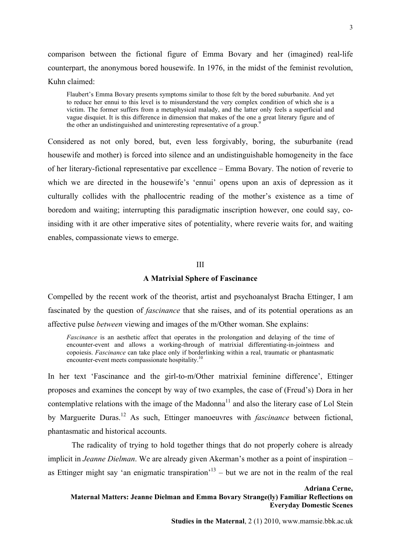comparison between the fictional figure of Emma Bovary and her (imagined) real-life counterpart, the anonymous bored housewife. In 1976, in the midst of the feminist revolution, Kuhn claimed:

Flaubert's Emma Bovary presents symptoms similar to those felt by the bored suburbanite. And yet to reduce her ennui to this level is to misunderstand the very complex condition of which she is a victim. The former suffers from a metaphysical malady, and the latter only feels a superficial and vague disquiet. It is this difference in dimension that makes of the one a great literary figure and of the other an undistinguished and uninteresting representative of a group.<sup>9</sup>

Considered as not only bored, but, even less forgivably, boring, the suburbanite (read housewife and mother) is forced into silence and an undistinguishable homogeneity in the face of her literary-fictional representative par excellence – Emma Bovary. The notion of reverie to which we are directed in the housewife's 'ennui' opens upon an axis of depression as it culturally collides with the phallocentric reading of the mother's existence as a time of boredom and waiting; interrupting this paradigmatic inscription however, one could say, coinsiding with it are other imperative sites of potentiality, where reverie waits for, and waiting enables, compassionate views to emerge.

#### III

### **A Matrixial Sphere of Fascinance**

Compelled by the recent work of the theorist, artist and psychoanalyst Bracha Ettinger, I am fascinated by the question of *fascinance* that she raises, and of its potential operations as an affective pulse *between* viewing and images of the m/Other woman. She explains:

*Fascinance* is an aesthetic affect that operates in the prolongation and delaying of the time of encounter-event and allows a working-through of matrixial differentiating-in-jointness and copoiesis. *Fascinance* can take place only if borderlinking within a real, traumatic or phantasmatic encounter-event meets compassionate hospitality.<sup>10</sup>

In her text 'Fascinance and the girl-to-m/Other matrixial feminine difference', Ettinger proposes and examines the concept by way of two examples, the case of (Freud's) Dora in her contemplative relations with the image of the Madonna<sup>11</sup> and also the literary case of Lol Stein by Marguerite Duras. <sup>12</sup> As such, Ettinger manoeuvres with *fascinance* between fictional, phantasmatic and historical accounts.

The radicality of trying to hold together things that do not properly cohere is already implicit in *Jeanne Dielman*. We are already given Akerman's mother as a point of inspiration – as Ettinger might say 'an enigmatic transpiration'<sup>13</sup> – but we are not in the realm of the real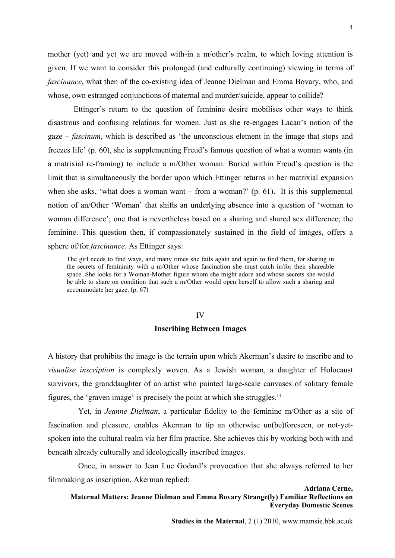mother (yet) and yet we are moved with-in a m/other's realm, to which loving attention is given. If we want to consider this prolonged (and culturally continuing) viewing in terms of *fascinance*, what then of the co-existing idea of Jeanne Dielman and Emma Bovary, who, and whose, own estranged conjunctions of maternal and murder/suicide, appear to collide?

Ettinger's return to the question of feminine desire mobilises other ways to think disastrous and confusing relations for women. Just as she re-engages Lacan's notion of the gaze – *fascinum*, which is described as 'the unconscious element in the image that stops and freezes life' (p. 60), she is supplementing Freud's famous question of what a woman wants (in a matrixial re-framing) to include a m/Other woman. Buried within Freud's question is the limit that is simultaneously the border upon which Ettinger returns in her matrixial expansion when she asks, 'what does a woman want – from a woman?' (p. 61). It is this supplemental notion of an/Other 'Woman' that shifts an underlying absence into a question of 'woman to woman difference'; one that is nevertheless based on a sharing and shared sex difference; the feminine. This question then, if compassionately sustained in the field of images, offers a sphere of/for *fascinance*. As Ettinger says:

The girl needs to find ways, and many times she fails again and again to find them, for sharing in the secrets of femininity with a m/Other whose fascination she must catch in/for their shareable space. She looks for a Woman-Mother figure whom she might adore and whose secrets she would be able to share on condition that such a m/Other would open herself to allow such a sharing and accommodate her gaze. (p. 67)

#### IV

#### **Inscribing Between Images**

A history that prohibits the image is the terrain upon which Akerman's desire to inscribe and to *visualise inscription* is complexly woven. As a Jewish woman, a daughter of Holocaust survivors, the granddaughter of an artist who painted large-scale canvases of solitary female figures, the 'graven image' is precisely the point at which she struggles.14

Yet, in *Jeanne Dielman*, a particular fidelity to the feminine m/Other as a site of fascination and pleasure, enables Akerman to tip an otherwise un(be)foreseen, or not-yetspoken into the cultural realm via her film practice. She achieves this by working both with and beneath already culturally and ideologically inscribed images.

Once, in answer to Jean Luc Godard's provocation that she always referred to her filmmaking as inscription, Akerman replied:

**Adriana Cerne, Maternal Matters: Jeanne Dielman and Emma Bovary Strange(ly) Familiar Reflections on Everyday Domestic Scenes**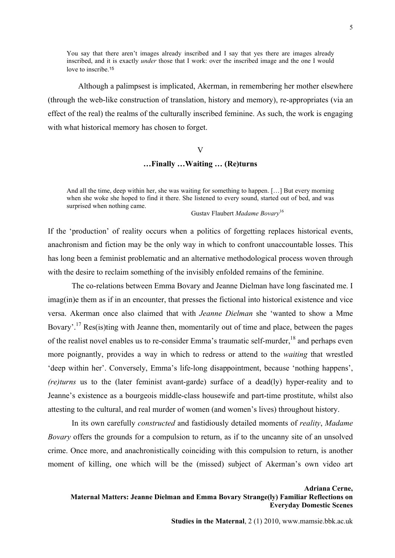You say that there aren't images already inscribed and I say that yes there are images already inscribed, and it is exactly *under* those that I work: over the inscribed image and the one I would love to inscribe.<sup>15</sup>

Although a palimpsest is implicated, Akerman, in remembering her mother elsewhere (through the web-like construction of translation, history and memory), re-appropriates (via an effect of the real) the realms of the culturally inscribed feminine. As such, the work is engaging with what historical memory has chosen to forget.

#### V

# **…Finally …Waiting … (Re)turns**

And all the time, deep within her, she was waiting for something to happen. […] But every morning when she woke she hoped to find it there. She listened to every sound, started out of bed, and was surprised when nothing came.

Gustav Flaubert *Madame Bovary*<sup>16</sup>

If the 'production' of reality occurs when a politics of forgetting replaces historical events, anachronism and fiction may be the only way in which to confront unaccountable losses. This has long been a feminist problematic and an alternative methodological process woven through with the desire to reclaim something of the invisibly enfolded remains of the feminine.

The co-relations between Emma Bovary and Jeanne Dielman have long fascinated me. I imag(in)e them as if in an encounter, that presses the fictional into historical existence and vice versa. Akerman once also claimed that with *Jeanne Dielman* she 'wanted to show a Mme Bovary'.<sup>17</sup> Res(is)ting with Jeanne then, momentarily out of time and place, between the pages of the realist novel enables us to re-consider Emma's traumatic self-murder,<sup>18</sup> and perhaps even more poignantly, provides a way in which to redress or attend to the *waiting* that wrestled 'deep within her'. Conversely, Emma's life-long disappointment, because 'nothing happens', *(re)turns* us to the (later feminist avant-garde) surface of a dead(ly) hyper-reality and to Jeanne's existence as a bourgeois middle-class housewife and part-time prostitute, whilst also attesting to the cultural, and real murder of women (and women's lives) throughout history.

In its own carefully *constructed* and fastidiously detailed moments of *reality*, *Madame Bovary* offers the grounds for a compulsion to return, as if to the uncanny site of an unsolved crime. Once more, and anachronistically coinciding with this compulsion to return, is another moment of killing, one which will be the (missed) subject of Akerman's own video art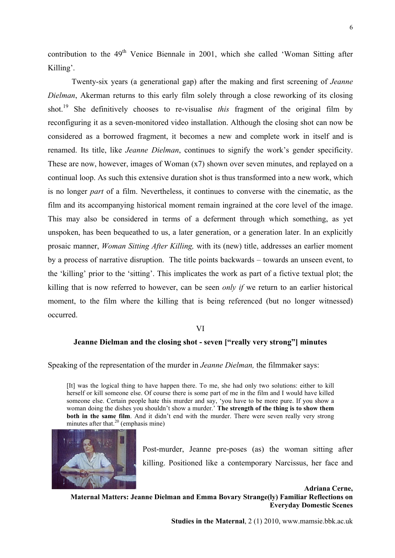contribution to the  $49<sup>th</sup>$  Venice Biennale in 2001, which she called 'Woman Sitting after Killing'.

Twenty-six years (a generational gap) after the making and first screening of *Jeanne Dielman*, Akerman returns to this early film solely through a close reworking of its closing shot.19 She definitively chooses to re-visualise *this* fragment of the original film by reconfiguring it as a seven-monitored video installation. Although the closing shot can now be considered as a borrowed fragment, it becomes a new and complete work in itself and is renamed. Its title, like *Jeanne Dielman*, continues to signify the work's gender specificity. These are now, however, images of Woman (x7) shown over seven minutes, and replayed on a continual loop. As such this extensive duration shot is thus transformed into a new work, which is no longer *part* of a film. Nevertheless, it continues to converse with the cinematic, as the film and its accompanying historical moment remain ingrained at the core level of the image. This may also be considered in terms of a deferment through which something, as yet unspoken, has been bequeathed to us, a later generation, or a generation later. In an explicitly prosaic manner, *Woman Sitting After Killing,* with its (new) title, addresses an earlier moment by a process of narrative disruption. The title points backwards – towards an unseen event, to the 'killing' prior to the 'sitting'. This implicates the work as part of a fictive textual plot; the killing that is now referred to however, can be seen *only if* we return to an earlier historical moment, to the film where the killing that is being referenced (but no longer witnessed) occurred.

## VI

## **Jeanne Dielman and the closing shot - seven ["really very strong"] minutes**

Speaking of the representation of the murder in *Jeanne Dielman,* the filmmaker says:

[It] was the logical thing to have happen there. To me, she had only two solutions: either to kill herself or kill someone else. Of course there is some part of me in the film and I would have killed someone else. Certain people hate this murder and say, 'you have to be more pure. If you show a woman doing the dishes you shouldn't show a murder.' **The strength of the thing is to show them both in the same film**. And it didn't end with the murder. There were seven really very strong minutes after that. $20$  (emphasis mine)



Post-murder, Jeanne pre-poses (as) the woman sitting after killing. Positioned like a contemporary Narcissus, her face and

**Adriana Cerne, Maternal Matters: Jeanne Dielman and Emma Bovary Strange(ly) Familiar Reflections on Everyday Domestic Scenes**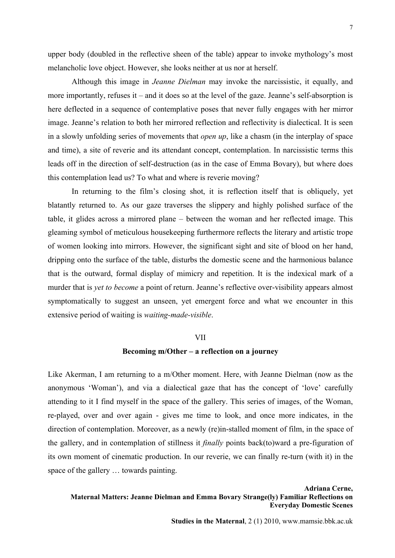upper body (doubled in the reflective sheen of the table) appear to invoke mythology's most melancholic love object. However, she looks neither at us nor at herself.

Although this image in *Jeanne Dielman* may invoke the narcissistic, it equally, and more importantly, refuses it – and it does so at the level of the gaze. Jeanne's self-absorption is here deflected in a sequence of contemplative poses that never fully engages with her mirror image. Jeanne's relation to both her mirrored reflection and reflectivity is dialectical. It is seen in a slowly unfolding series of movements that *open up*, like a chasm (in the interplay of space and time), a site of reverie and its attendant concept, contemplation. In narcissistic terms this leads off in the direction of self-destruction (as in the case of Emma Bovary), but where does this contemplation lead us? To what and where is reverie moving?

In returning to the film's closing shot, it is reflection itself that is obliquely, yet blatantly returned to. As our gaze traverses the slippery and highly polished surface of the table, it glides across a mirrored plane – between the woman and her reflected image. This gleaming symbol of meticulous housekeeping furthermore reflects the literary and artistic trope of women looking into mirrors. However, the significant sight and site of blood on her hand, dripping onto the surface of the table, disturbs the domestic scene and the harmonious balance that is the outward, formal display of mimicry and repetition. It is the indexical mark of a murder that is *yet to become* a point of return. Jeanne's reflective over-visibility appears almost symptomatically to suggest an unseen, yet emergent force and what we encounter in this extensive period of waiting is *waiting-made-visible*.

## VII

### **Becoming m/Other – a reflection on a journey**

Like Akerman, I am returning to a m/Other moment. Here, with Jeanne Dielman (now as the anonymous 'Woman'), and via a dialectical gaze that has the concept of 'love' carefully attending to it I find myself in the space of the gallery. This series of images, of the Woman, re-played, over and over again - gives me time to look, and once more indicates, in the direction of contemplation. Moreover, as a newly (re)in-stalled moment of film, in the space of the gallery, and in contemplation of stillness it *finally* points back(to)ward a pre-figuration of its own moment of cinematic production. In our reverie, we can finally re-turn (with it) in the space of the gallery … towards painting.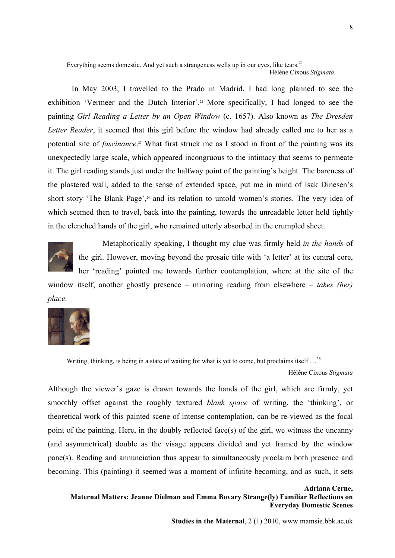Everything seems domestic. And yet such a strangeness wells up in our eyes, like tears.<sup>21</sup>

#### Hélène Cixous *Stigmata*

In May 2003, I travelled to the Prado in Madrid. I had long planned to see the exhibition 'Vermeer and the Dutch Interior'.<sup>22</sup> More specifically, I had longed to see the painting *Girl Reading a Letter by an Open Window* (c. 1657). Also known as *The Dresden Letter Reader*, it seemed that this girl before the window had already called me to her as a potential site of *fascinance*. 23 What first struck me as I stood in front of the painting was its unexpectedly large scale, which appeared incongruous to the intimacy that seems to permeate it. The girl reading stands just under the halfway point of the painting's height. The bareness of the plastered wall, added to the sense of extended space, put me in mind of Isak Dinesen's short story 'The Blank Page',<sup>24</sup> and its relation to untold women's stories. The very idea of which seemed then to travel, back into the painting, towards the unreadable letter held tightly in the clenched hands of the girl, who remained utterly absorbed in the crumpled sheet.



Metaphorically speaking, I thought my clue was firmly held *in the hands* of the girl. However, moving beyond the prosaic title with 'a letter' at its central core, her 'reading' pointed me towards further contemplation, where at the site of the

window itself, another ghostly presence – mirroring reading from elsewhere – *takes (her) place*.



Writing, thinking, is being in a state of waiting for what is yet to come, but proclaims itself ...<sup>25</sup>

## Hélène Cixous *Stigmata*

Although the viewer's gaze is drawn towards the hands of the girl, which are firmly, yet smoothly offset against the roughly textured *blank space* of writing, the 'thinking', or theoretical work of this painted scene of intense contemplation, can be re-viewed as the focal point of the painting. Here, in the doubly reflected face(s) of the girl, we witness the uncanny (and asymmetrical) double as the visage appears divided and yet framed by the window pane(s). Reading and annunciation thus appear to simultaneously proclaim both presence and becoming. This (painting) it seemed was a moment of infinite becoming, and as such, it sets

**Adriana Cerne, Maternal Matters: Jeanne Dielman and Emma Bovary Strange(ly) Familiar Reflections on Everyday Domestic Scenes**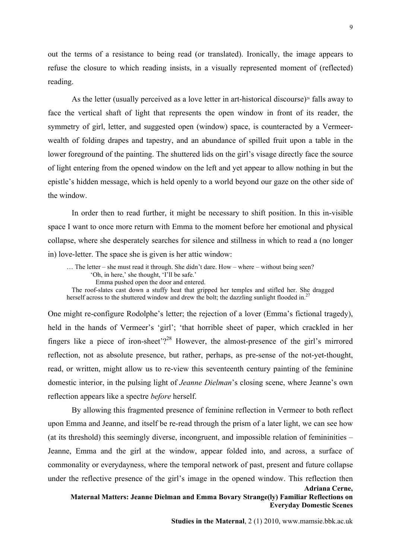out the terms of a resistance to being read (or translated). Ironically, the image appears to refuse the closure to which reading insists, in a visually represented moment of (reflected) reading.

As the letter (usually perceived as a love letter in art-historical discourse)<sup>26</sup> falls away to face the vertical shaft of light that represents the open window in front of its reader, the symmetry of girl, letter, and suggested open (window) space, is counteracted by a Vermeerwealth of folding drapes and tapestry, and an abundance of spilled fruit upon a table in the lower foreground of the painting. The shuttered lids on the girl's visage directly face the source of light entering from the opened window on the left and yet appear to allow nothing in but the epistle's hidden message, which is held openly to a world beyond our gaze on the other side of the window.

In order then to read further, it might be necessary to shift position. In this in-visible space I want to once more return with Emma to the moment before her emotional and physical collapse, where she desperately searches for silence and stillness in which to read a (no longer in) love-letter. The space she is given is her attic window:

… The letter – she must read it through. She didn't dare. How – where – without being seen? 'Oh, in here,' she thought, 'I'll be safe.' Emma pushed open the door and entered. The roof-slates cast down a stuffy heat that gripped her temples and stifled her. She dragged herself across to the shuttered window and drew the bolt; the dazzling sunlight flooded in.<sup>27</sup>

One might re-configure Rodolphe's letter; the rejection of a lover (Emma's fictional tragedy), held in the hands of Vermeer's 'girl'; 'that horrible sheet of paper, which crackled in her fingers like a piece of iron-sheet'?<sup>28</sup> However, the almost-presence of the girl's mirrored reflection, not as absolute presence, but rather, perhaps, as pre-sense of the not-yet-thought, read, or written, might allow us to re-view this seventeenth century painting of the feminine domestic interior, in the pulsing light of *Jeanne Dielman*'s closing scene, where Jeanne's own reflection appears like a spectre *before* herself.

**Adriana Cerne,** By allowing this fragmented presence of feminine reflection in Vermeer to both reflect upon Emma and Jeanne, and itself be re-read through the prism of a later light, we can see how (at its threshold) this seemingly diverse, incongruent, and impossible relation of femininities – Jeanne, Emma and the girl at the window, appear folded into, and across, a surface of commonality or everydayness, where the temporal network of past, present and future collapse under the reflective presence of the girl's image in the opened window. This reflection then

**Maternal Matters: Jeanne Dielman and Emma Bovary Strange(ly) Familiar Reflections on Everyday Domestic Scenes**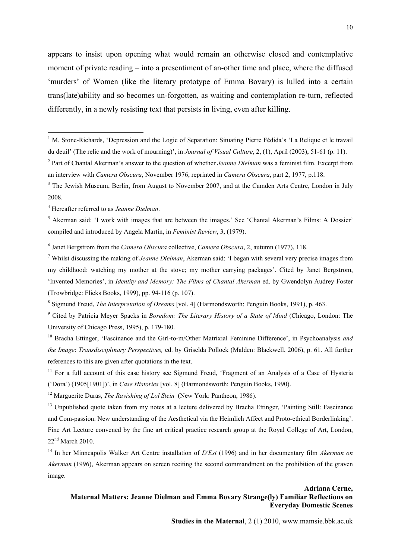appears to insist upon opening what would remain an otherwise closed and contemplative moment of private reading – into a presentiment of an-other time and place, where the diffused 'murders' of Women (like the literary prototype of Emma Bovary) is lulled into a certain trans(late)ability and so becomes un-forgotten, as waiting and contemplation re-turn, reflected differently, in a newly resisting text that persists in living, even after killing.

## **Adriana Cerne, Maternal Matters: Jeanne Dielman and Emma Bovary Strange(ly) Familiar Reflections on Everyday Domestic Scenes**

**Studies in the Maternal**, 2 (1) 2010, www.mamsie.bbk.ac.uk

 $\frac{1}{1}$ <sup>1</sup> M. Stone-Richards, 'Depression and the Logic of Separation: Situating Pierre Fédida's 'La Relique et le travail du deuil' (The relic and the work of mourning)', in *Journal of Visual Culture*, 2, (1), April (2003), 51-61 (p. 11).

<sup>2</sup> Part of Chantal Akerman's answer to the question of whether *Jeanne Dielman* was a feminist film. Excerpt from an interview with *Camera Obscura*, November 1976, reprinted in *Camera Obscura*, part 2, 1977, p.118.

<sup>&</sup>lt;sup>3</sup> The Jewish Museum, Berlin, from August to November 2007, and at the Camden Arts Centre, London in July 2008.

<sup>4</sup> Hereafter referred to as *Jeanne Dielman*.

<sup>&</sup>lt;sup>5</sup> Akerman said: 'I work with images that are between the images.' See 'Chantal Akerman's Films: A Dossier' compiled and introduced by Angela Martin, in *Feminist Review*, 3, (1979).

<sup>6</sup> Janet Bergstrom from the *Camera Obscura* collective, *Camera Obscura*, 2, autumn (1977), 118.

<sup>7</sup> Whilst discussing the making of *Jeanne Dielman*, Akerman said: 'I began with several very precise images from my childhood: watching my mother at the stove; my mother carrying packages'. Cited by Janet Bergstrom, 'Invented Memories', in *Identity and Memory: The Films of Chantal Akerman* ed. by Gwendolyn Audrey Foster (Trowbridge: Flicks Books, 1999), pp. 94-116 (p. 107).

<sup>8</sup> Sigmund Freud, *The Interpretation of Dreams* [vol. 4] (Harmondsworth: Penguin Books, 1991), p. 463.

<sup>9</sup> Cited by Patricia Meyer Spacks in *Boredom: The Literary History of a State of Mind* (Chicago, London: The University of Chicago Press, 1995), p. 179-180.

<sup>&</sup>lt;sup>10</sup> Bracha Ettinger, 'Fascinance and the Girl-to-m/Other Matrixial Feminine Difference', in Psychoanalysis and *the Image*: *Transdisciplinary Perspectives,* ed. by Griselda Pollock (Malden: Blackwell, 2006), p. 61. All further references to this are given after quotations in the text.

<sup>&</sup>lt;sup>11</sup> For a full account of this case history see Sigmund Freud, 'Fragment of an Analysis of a Case of Hysteria ('Dora') (1905[1901])', in *Case Histories* [vol. 8] (Harmondsworth: Penguin Books, 1990).

<sup>&</sup>lt;sup>12</sup> Marguerite Duras, *The Ravishing of Lol Stein* (New York: Pantheon, 1986).

<sup>&</sup>lt;sup>13</sup> Unpublished quote taken from my notes at a lecture delivered by Bracha Ettinger, 'Painting Still: Fascinance and Com-passion. New understanding of the Aesthetical via the Heimlich Affect and Proto-ethical Borderlinking'. Fine Art Lecture convened by the fine art critical practice research group at the Royal College of Art, London,  $22<sup>nd</sup> March 2010$ .

<sup>14</sup> In her Minneapolis Walker Art Centre installation of *D'Est* (1996) and in her documentary film *Akerman on Akerman* (1996), Akerman appears on screen reciting the second commandment on the prohibition of the graven image.